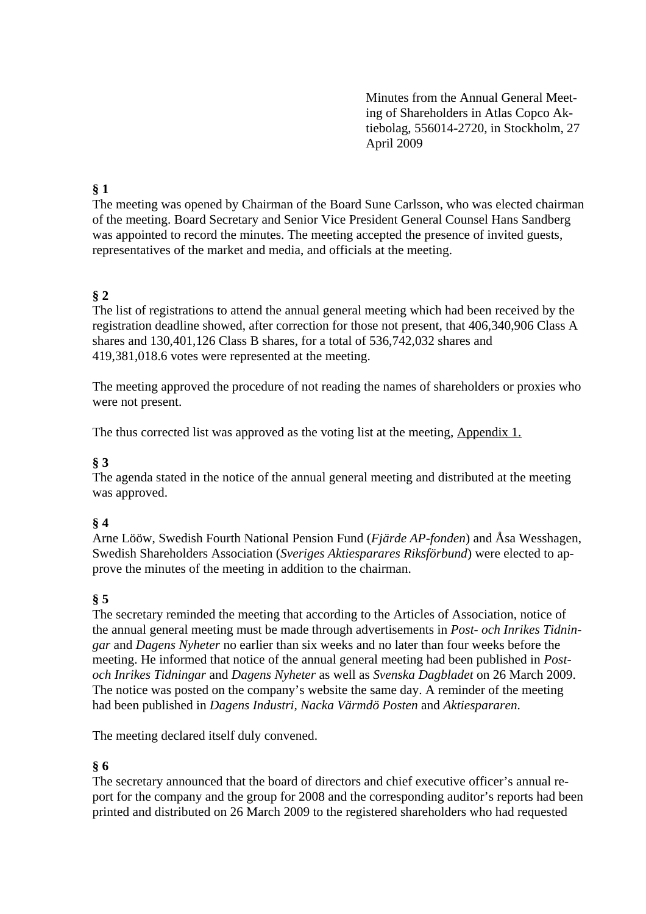Minutes from the Annual General Meeting of Shareholders in Atlas Copco Aktiebolag, 556014-2720, in Stockholm, 27 April 2009

# **§ 1**

The meeting was opened by Chairman of the Board Sune Carlsson, who was elected chairman of the meeting. Board Secretary and Senior Vice President General Counsel Hans Sandberg was appointed to record the minutes. The meeting accepted the presence of invited guests, representatives of the market and media, and officials at the meeting.

## **§ 2**

The list of registrations to attend the annual general meeting which had been received by the registration deadline showed, after correction for those not present, that 406,340,906 Class A shares and 130,401,126 Class B shares, for a total of 536,742,032 shares and 419,381,018.6 votes were represented at the meeting.

The meeting approved the procedure of not reading the names of shareholders or proxies who were not present.

The thus corrected list was approved as the voting list at the meeting, Appendix 1.

## **§ 3**

The agenda stated in the notice of the annual general meeting and distributed at the meeting was approved.

### **§ 4**

Arne Lööw, Swedish Fourth National Pension Fund (*Fjärde AP-fonden*) and Åsa Wesshagen, Swedish Shareholders Association (*Sveriges Aktiesparares Riksförbund*) were elected to approve the minutes of the meeting in addition to the chairman.

## **§ 5**

The secretary reminded the meeting that according to the Articles of Association, notice of the annual general meeting must be made through advertisements in *Post- och Inrikes Tidningar* and *Dagens Nyheter* no earlier than six weeks and no later than four weeks before the meeting. He informed that notice of the annual general meeting had been published in *Postoch Inrikes Tidningar* and *Dagens Nyheter* as well as *Svenska Dagbladet* on 26 March 2009. The notice was posted on the company's website the same day. A reminder of the meeting had been published in *Dagens Industri, Nacka Värmdö Posten* and *Aktiespararen*.

The meeting declared itself duly convened.

### **§ 6**

The secretary announced that the board of directors and chief executive officer's annual report for the company and the group for 2008 and the corresponding auditor's reports had been printed and distributed on 26 March 2009 to the registered shareholders who had requested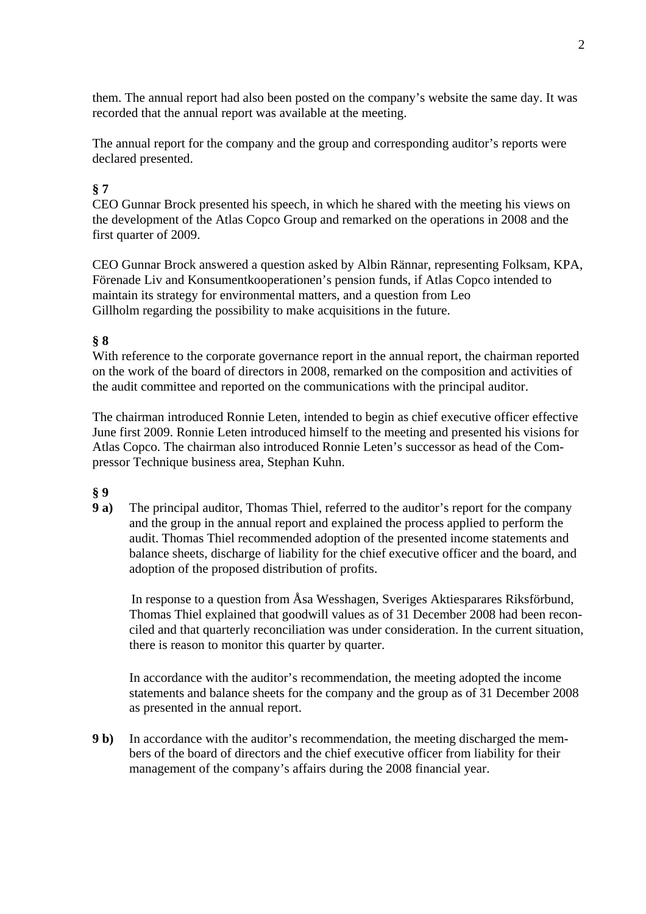them. The annual report had also been posted on the company's website the same day. It was recorded that the annual report was available at the meeting.

The annual report for the company and the group and corresponding auditor's reports were declared presented.

# **§ 7**

CEO Gunnar Brock presented his speech, in which he shared with the meeting his views on the development of the Atlas Copco Group and remarked on the operations in 2008 and the first quarter of 2009.

CEO Gunnar Brock answered a question asked by Albin Rännar, representing Folksam, KPA, Förenade Liv and Konsumentkooperationen's pension funds, if Atlas Copco intended to maintain its strategy for environmental matters, and a question from Leo Gillholm regarding the possibility to make acquisitions in the future.

## **§ 8**

With reference to the corporate governance report in the annual report, the chairman reported on the work of the board of directors in 2008, remarked on the composition and activities of the audit committee and reported on the communications with the principal auditor.

The chairman introduced Ronnie Leten, intended to begin as chief executive officer effective June first 2009. Ronnie Leten introduced himself to the meeting and presented his visions for Atlas Copco. The chairman also introduced Ronnie Leten's successor as head of the Compressor Technique business area, Stephan Kuhn.

### **§ 9**

**9 a)** The principal auditor, Thomas Thiel, referred to the auditor's report for the company and the group in the annual report and explained the process applied to perform the audit. Thomas Thiel recommended adoption of the presented income statements and balance sheets, discharge of liability for the chief executive officer and the board, and adoption of the proposed distribution of profits.

In response to a question from Åsa Wesshagen, Sveriges Aktiesparares Riksförbund, Thomas Thiel explained that goodwill values as of 31 December 2008 had been reconciled and that quarterly reconciliation was under consideration. In the current situation, there is reason to monitor this quarter by quarter.

 In accordance with the auditor's recommendation, the meeting adopted the income statements and balance sheets for the company and the group as of 31 December 2008 as presented in the annual report.

**9 b)** In accordance with the auditor's recommendation, the meeting discharged the members of the board of directors and the chief executive officer from liability for their management of the company's affairs during the 2008 financial year.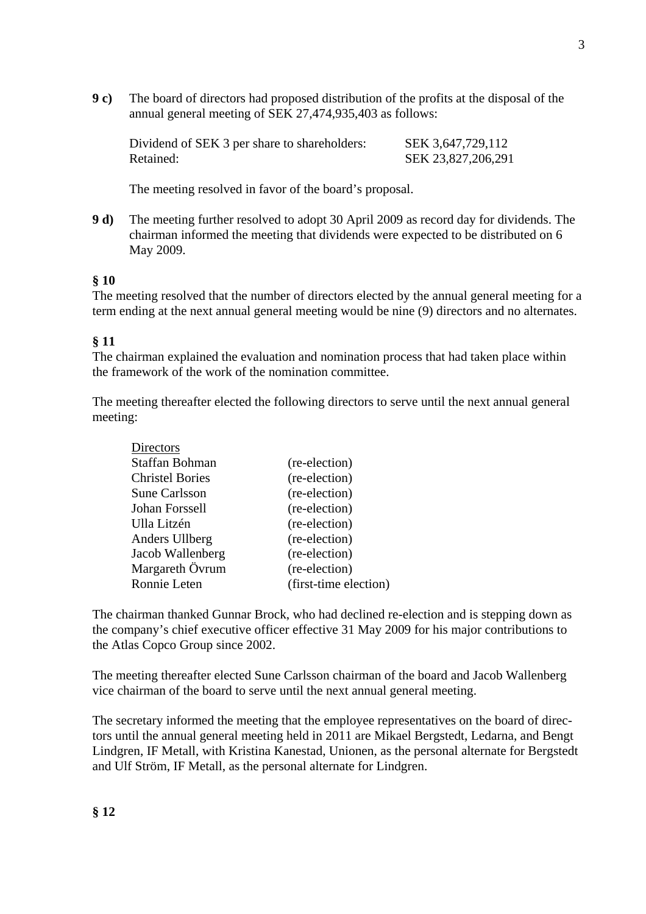**9 c)** The board of directors had proposed distribution of the profits at the disposal of the annual general meeting of SEK 27,474,935,403 as follows:

Dividend of SEK 3 per share to shareholders: SEK 3,647,729,112 Retained: SEK 23,827,206,291

The meeting resolved in favor of the board's proposal.

**9 d)** The meeting further resolved to adopt 30 April 2009 as record day for dividends. The chairman informed the meeting that dividends were expected to be distributed on 6 May 2009.

#### **§ 10**

The meeting resolved that the number of directors elected by the annual general meeting for a term ending at the next annual general meeting would be nine (9) directors and no alternates.

#### **§ 11**

The chairman explained the evaluation and nomination process that had taken place within the framework of the work of the nomination committee.

The meeting thereafter elected the following directors to serve until the next annual general meeting:

| Directors              |                       |
|------------------------|-----------------------|
| Staffan Bohman         | (re-election)         |
| <b>Christel Bories</b> | (re-election)         |
| <b>Sune Carlsson</b>   | (re-election)         |
| Johan Forssell         | (re-election)         |
| Ulla Litzén            | (re-election)         |
| Anders Ullberg         | (re-election)         |
| Jacob Wallenberg       | (re-election)         |
| Margareth Övrum        | (re-election)         |
| Ronnie Leten           | (first-time election) |
|                        |                       |

The chairman thanked Gunnar Brock, who had declined re-election and is stepping down as the company's chief executive officer effective 31 May 2009 for his major contributions to the Atlas Copco Group since 2002.

The meeting thereafter elected Sune Carlsson chairman of the board and Jacob Wallenberg vice chairman of the board to serve until the next annual general meeting.

The secretary informed the meeting that the employee representatives on the board of directors until the annual general meeting held in 2011 are Mikael Bergstedt, Ledarna, and Bengt Lindgren, IF Metall, with Kristina Kanestad, Unionen, as the personal alternate for Bergstedt and Ulf Ström, IF Metall, as the personal alternate for Lindgren.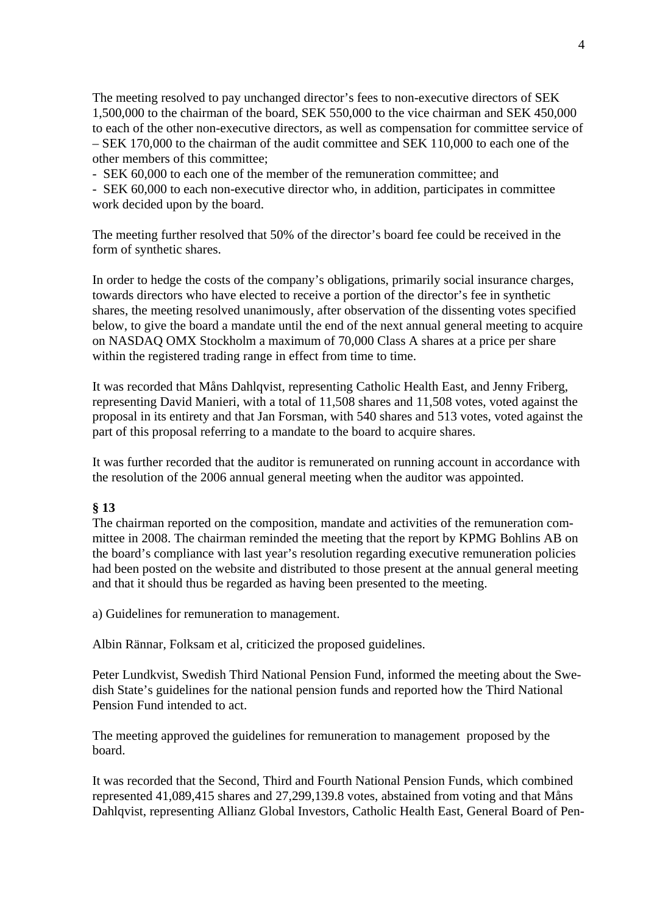The meeting resolved to pay unchanged director's fees to non-executive directors of SEK 1,500,000 to the chairman of the board, SEK 550,000 to the vice chairman and SEK 450,000 to each of the other non-executive directors, as well as compensation for committee service of – SEK 170,000 to the chairman of the audit committee and SEK 110,000 to each one of the other members of this committee;

- SEK 60,000 to each one of the member of the remuneration committee; and

- SEK 60,000 to each non-executive director who, in addition, participates in committee work decided upon by the board.

The meeting further resolved that 50% of the director's board fee could be received in the form of synthetic shares.

In order to hedge the costs of the company's obligations, primarily social insurance charges, towards directors who have elected to receive a portion of the director's fee in synthetic shares, the meeting resolved unanimously, after observation of the dissenting votes specified below, to give the board a mandate until the end of the next annual general meeting to acquire on NASDAQ OMX Stockholm a maximum of 70,000 Class A shares at a price per share within the registered trading range in effect from time to time.

It was recorded that Måns Dahlqvist, representing Catholic Health East, and Jenny Friberg, representing David Manieri, with a total of 11,508 shares and 11,508 votes, voted against the proposal in its entirety and that Jan Forsman, with 540 shares and 513 votes, voted against the part of this proposal referring to a mandate to the board to acquire shares.

It was further recorded that the auditor is remunerated on running account in accordance with the resolution of the 2006 annual general meeting when the auditor was appointed.

### **§ 13**

The chairman reported on the composition, mandate and activities of the remuneration committee in 2008. The chairman reminded the meeting that the report by KPMG Bohlins AB on the board's compliance with last year's resolution regarding executive remuneration policies had been posted on the website and distributed to those present at the annual general meeting and that it should thus be regarded as having been presented to the meeting.

a) Guidelines for remuneration to management.

Albin Rännar, Folksam et al, criticized the proposed guidelines.

Peter Lundkvist, Swedish Third National Pension Fund, informed the meeting about the Swedish State's guidelines for the national pension funds and reported how the Third National Pension Fund intended to act.

The meeting approved the guidelines for remuneration to management proposed by the board.

It was recorded that the Second, Third and Fourth National Pension Funds, which combined represented 41,089,415 shares and 27,299,139.8 votes, abstained from voting and that Måns Dahlqvist, representing Allianz Global Investors, Catholic Health East, General Board of Pen-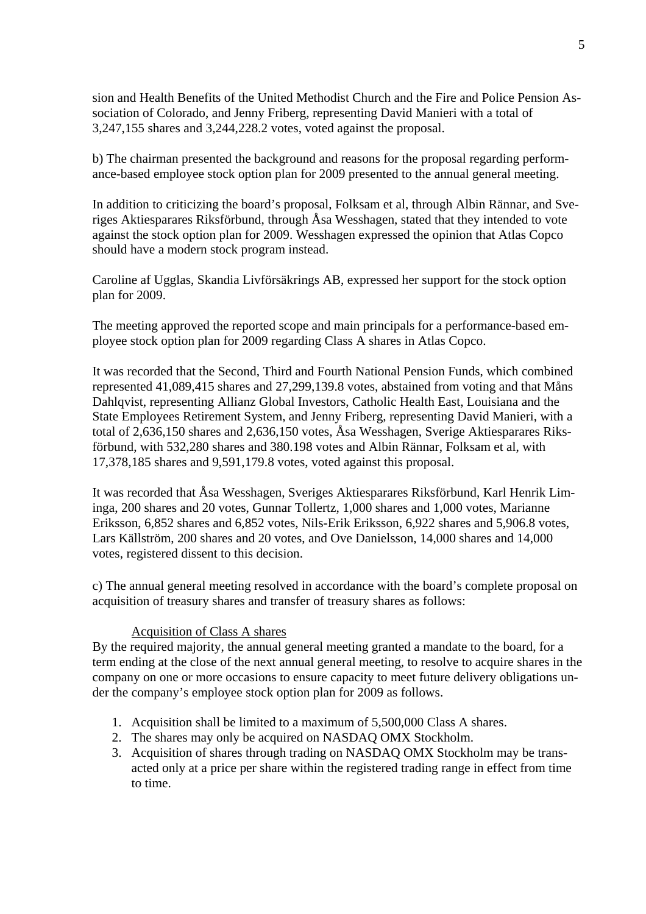sion and Health Benefits of the United Methodist Church and the Fire and Police Pension Association of Colorado, and Jenny Friberg, representing David Manieri with a total of 3,247,155 shares and 3,244,228.2 votes, voted against the proposal.

b) The chairman presented the background and reasons for the proposal regarding performance-based employee stock option plan for 2009 presented to the annual general meeting.

In addition to criticizing the board's proposal, Folksam et al, through Albin Rännar, and Sveriges Aktiesparares Riksförbund, through Åsa Wesshagen, stated that they intended to vote against the stock option plan for 2009. Wesshagen expressed the opinion that Atlas Copco should have a modern stock program instead.

Caroline af Ugglas, Skandia Livförsäkrings AB, expressed her support for the stock option plan for 2009.

The meeting approved the reported scope and main principals for a performance-based employee stock option plan for 2009 regarding Class A shares in Atlas Copco.

It was recorded that the Second, Third and Fourth National Pension Funds, which combined represented 41,089,415 shares and 27,299,139.8 votes, abstained from voting and that Måns Dahlqvist, representing Allianz Global Investors, Catholic Health East, Louisiana and the State Employees Retirement System, and Jenny Friberg, representing David Manieri, with a total of 2,636,150 shares and 2,636,150 votes, Åsa Wesshagen, Sverige Aktiesparares Riksförbund, with 532,280 shares and 380.198 votes and Albin Rännar, Folksam et al, with 17,378,185 shares and 9,591,179.8 votes, voted against this proposal.

It was recorded that Åsa Wesshagen, Sveriges Aktiesparares Riksförbund, Karl Henrik Liminga, 200 shares and 20 votes, Gunnar Tollertz, 1,000 shares and 1,000 votes, Marianne Eriksson, 6,852 shares and 6,852 votes, Nils-Erik Eriksson, 6,922 shares and 5,906.8 votes, Lars Källström, 200 shares and 20 votes, and Ove Danielsson, 14,000 shares and 14,000 votes, registered dissent to this decision.

c) The annual general meeting resolved in accordance with the board's complete proposal on acquisition of treasury shares and transfer of treasury shares as follows:

#### Acquisition of Class A shares

By the required majority, the annual general meeting granted a mandate to the board, for a term ending at the close of the next annual general meeting, to resolve to acquire shares in the company on one or more occasions to ensure capacity to meet future delivery obligations under the company's employee stock option plan for 2009 as follows.

- 1. Acquisition shall be limited to a maximum of 5,500,000 Class A shares.
- 2. The shares may only be acquired on NASDAQ OMX Stockholm.
- 3. Acquisition of shares through trading on NASDAQ OMX Stockholm may be transacted only at a price per share within the registered trading range in effect from time to time.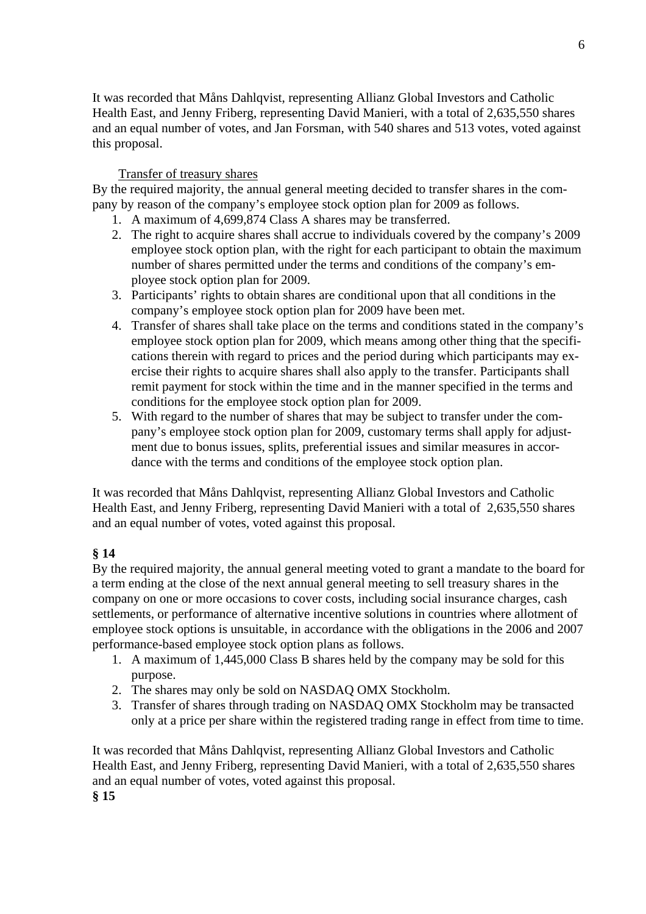It was recorded that Måns Dahlqvist, representing Allianz Global Investors and Catholic Health East, and Jenny Friberg, representing David Manieri, with a total of 2,635,550 shares and an equal number of votes, and Jan Forsman, with 540 shares and 513 votes, voted against this proposal.

### Transfer of treasury shares

By the required majority, the annual general meeting decided to transfer shares in the company by reason of the company's employee stock option plan for 2009 as follows.

- 1. A maximum of 4,699,874 Class A shares may be transferred.
- 2. The right to acquire shares shall accrue to individuals covered by the company's 2009 employee stock option plan, with the right for each participant to obtain the maximum number of shares permitted under the terms and conditions of the company's employee stock option plan for 2009.
- 3. Participants' rights to obtain shares are conditional upon that all conditions in the company's employee stock option plan for 2009 have been met.
- 4. Transfer of shares shall take place on the terms and conditions stated in the company's employee stock option plan for 2009, which means among other thing that the specifications therein with regard to prices and the period during which participants may exercise their rights to acquire shares shall also apply to the transfer. Participants shall remit payment for stock within the time and in the manner specified in the terms and conditions for the employee stock option plan for 2009.
- 5. With regard to the number of shares that may be subject to transfer under the company's employee stock option plan for 2009, customary terms shall apply for adjustment due to bonus issues, splits, preferential issues and similar measures in accordance with the terms and conditions of the employee stock option plan.

It was recorded that Måns Dahlqvist, representing Allianz Global Investors and Catholic Health East, and Jenny Friberg, representing David Manieri with a total of 2,635,550 shares and an equal number of votes, voted against this proposal.

## **§ 14**

By the required majority, the annual general meeting voted to grant a mandate to the board for a term ending at the close of the next annual general meeting to sell treasury shares in the company on one or more occasions to cover costs, including social insurance charges, cash settlements, or performance of alternative incentive solutions in countries where allotment of employee stock options is unsuitable, in accordance with the obligations in the 2006 and 2007 performance-based employee stock option plans as follows.

- 1. A maximum of 1,445,000 Class B shares held by the company may be sold for this purpose.
- 2. The shares may only be sold on NASDAQ OMX Stockholm.
- 3. Transfer of shares through trading on NASDAQ OMX Stockholm may be transacted only at a price per share within the registered trading range in effect from time to time.

It was recorded that Måns Dahlqvist, representing Allianz Global Investors and Catholic Health East, and Jenny Friberg, representing David Manieri, with a total of 2,635,550 shares and an equal number of votes, voted against this proposal. **§ 15**